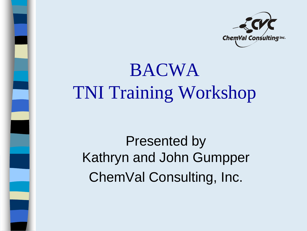

#### BACWA TNI Training Workshop

Presented by Kathryn and John Gumpper ChemVal Consulting, Inc.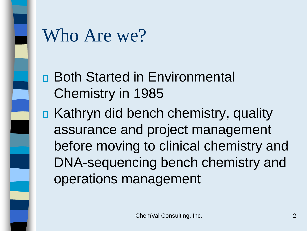

#### Who Are we?

- Both Started in Environmental Chemistry in 1985
- Kathryn did bench chemistry, quality assurance and project management before moving to clinical chemistry and DNA-sequencing bench chemistry and operations management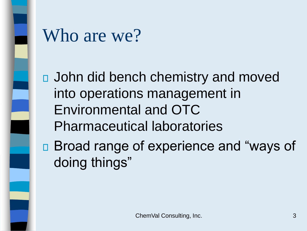

#### Who are we?

John did bench chemistry and moved into operations management in Environmental and OTC Pharmaceutical laboratories

■ Broad range of experience and "ways of doing things"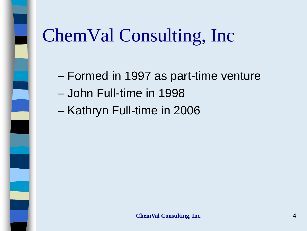

– Formed in 1997 as part-time venture

- John Full-time in 1998
- Kathryn Full-time in 2006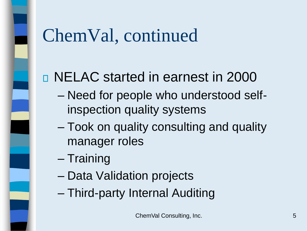### ChemVal, continued

#### NELAC started in earnest in 2000

- Need for people who understood selfinspection quality systems
- Took on quality consulting and quality manager roles
- Training
- Data Validation projects
- Third-party Internal Auditing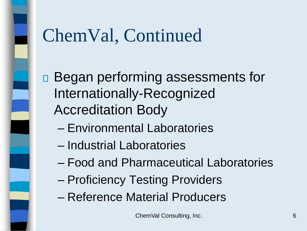## ChemVal, Continued

□ Began performing assessments for Internationally-Recognized Accreditation Body

- Environmental Laboratories
- Industrial Laboratories
- Food and Pharmaceutical Laboratories
- Proficiency Testing Providers
- Reference Material Producers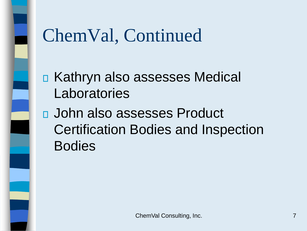

- Kathryn also assesses Medical Laboratories
- John also assesses Product Certification Bodies and Inspection Bodies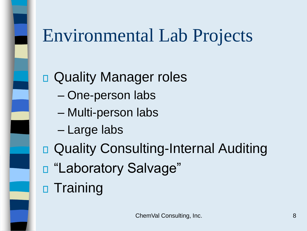### Environmental Lab Projects

**D** Quality Manager roles

- One-person labs
- Multi-person labs
- Large labs
- □ Quality Consulting-Internal Auditing
- "Laboratory Salvage"
- n Training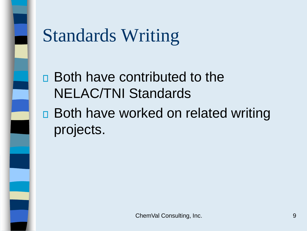

# Standards Writing

- Both have contributed to the NELAC/TNI Standards
- □ Both have worked on related writing projects.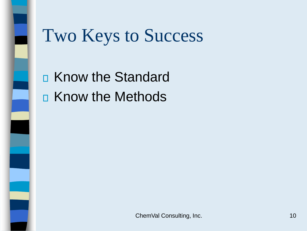

#### Two Keys to Success

**E** Know the Standard **E** Know the Methods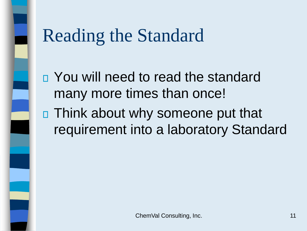- You will need to read the standard many more times than once!
- □ Think about why someone put that requirement into a laboratory Standard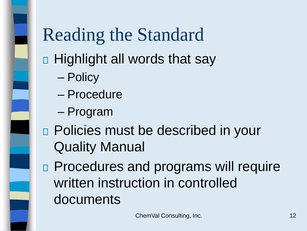#### Highlight all words that say

- Policy
- Procedure
- Program
- □ Policies must be described in your Quality Manual
- **Procedures and programs will require** written instruction in controlled documents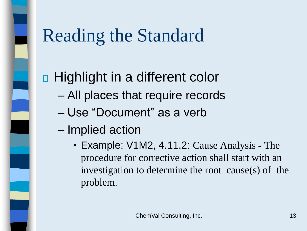#### □ Highlight in a different color

- All places that require records
- Use "Document" as a verb
- Implied action
	- Example: V1M2, 4.11.2: Cause Analysis The procedure for corrective action shall start with an investigation to determine the root cause(s) of the problem.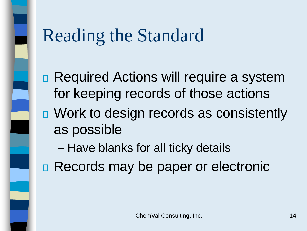- □ Required Actions will require a system for keeping records of those actions
- □ Work to design records as consistently as possible
	- Have blanks for all ticky details
- **E** Records may be paper or electronic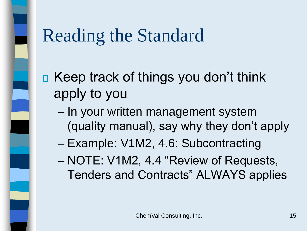- $\Box$  Keep track of things you don't think apply to you
	- In your written management system (quality manual), say why they don't apply
	- Example: V1M2, 4.6: Subcontracting
	- NOTE: V1M2, 4.4 "Review of Requests, Tenders and Contracts" ALWAYS applies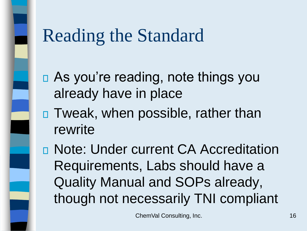- As you're reading, note things you already have in place
- Tweak, when possible, rather than rewrite
- Note: Under current CA Accreditation Requirements, Labs should have a Quality Manual and SOPs already, though not necessarily TNI compliant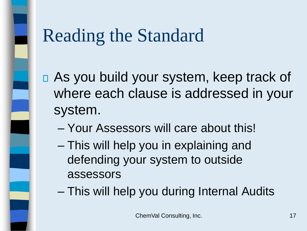- As you build your system, keep track of where each clause is addressed in your system.
	- Your Assessors will care about this!
	- This will help you in explaining and defending your system to outside assessors
	- This will help you during Internal Audits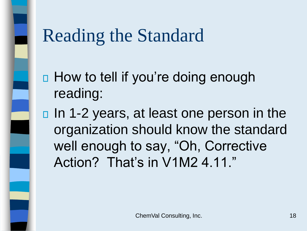- □ How to tell if you're doing enough reading:
- □ In 1-2 years, at least one person in the organization should know the standard well enough to say, "Oh, Corrective Action? That's in V1M2 4.11."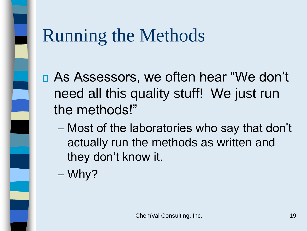- As Assessors, we often hear "We don't need all this quality stuff! We just run the methods!"
	- Most of the laboratories who say that don't actually run the methods as written and they don't know it.

– Why?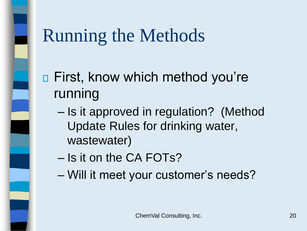- □ First, know which method you're running
	- Is it approved in regulation? (Method Update Rules for drinking water, wastewater)
	- Is it on the CA FOTs?
	- Will it meet your customer's needs?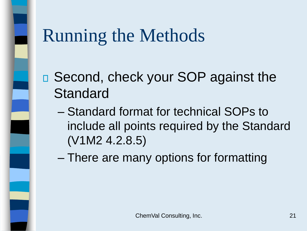- □ Second, check your SOP against the **Standard** 
	- Standard format for technical SOPs to include all points required by the Standard (V1M2 4.2.8.5)
	- There are many options for formatting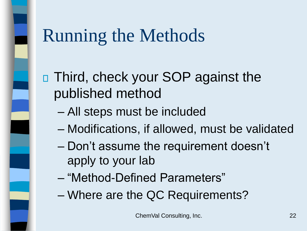#### □ Third, check your SOP against the published method

- All steps must be included
- Modifications, if allowed, must be validated
- Don't assume the requirement doesn't apply to your lab
- "Method-Defined Parameters"
- Where are the QC Requirements?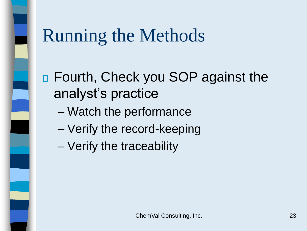- Fourth, Check you SOP against the analyst's practice
	- Watch the performance
	- Verify the record-keeping
	- Verify the traceability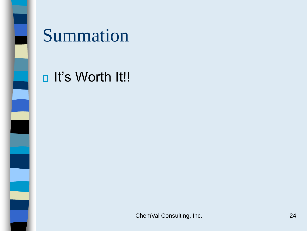

#### Summation

#### **D** It's Worth It!!